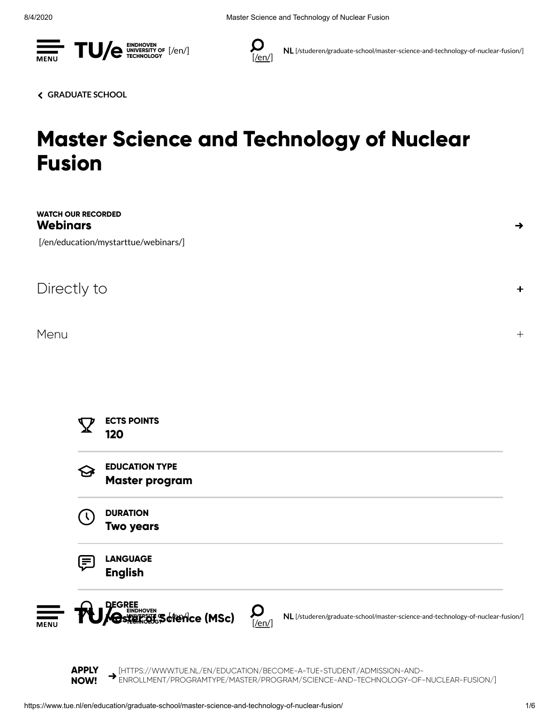



NL [\[/studeren/graduate-school/master-science-and-technology-of-nuclear-fusion/\]](https://www.tue.nl/studeren/graduate-school/master-science-and-technology-of-nuclear-fusion/)

[GRADUATE](https://www.tue.nl/en/education/graduate-school/) SCHOOL

# Master Science and Technology of Nuclear Fusion

| <b>Webinars</b> | <b>WATCH OUR RECORDED</b> | [/en/education/mystarttue/webinars/]                                                                                                                                                                                                                                                                                                                                                                                                                                                                                                                                                                                                                                                                             | $\rightarrow$ |
|-----------------|---------------------------|------------------------------------------------------------------------------------------------------------------------------------------------------------------------------------------------------------------------------------------------------------------------------------------------------------------------------------------------------------------------------------------------------------------------------------------------------------------------------------------------------------------------------------------------------------------------------------------------------------------------------------------------------------------------------------------------------------------|---------------|
|                 | Directly to               |                                                                                                                                                                                                                                                                                                                                                                                                                                                                                                                                                                                                                                                                                                                  | ٠             |
| Menu            |                           |                                                                                                                                                                                                                                                                                                                                                                                                                                                                                                                                                                                                                                                                                                                  | $+$           |
|                 | $\bm{Y}$                  | <b>ECTS POINTS</b><br>120                                                                                                                                                                                                                                                                                                                                                                                                                                                                                                                                                                                                                                                                                        |               |
|                 |                           | <b>EDUCATION TYPE</b><br><b>Master program</b>                                                                                                                                                                                                                                                                                                                                                                                                                                                                                                                                                                                                                                                                   |               |
|                 |                           | <b>DURATION</b><br><b>Two years</b>                                                                                                                                                                                                                                                                                                                                                                                                                                                                                                                                                                                                                                                                              |               |
|                 | 目                         | <b>LANGUAGE</b><br><b>English</b>                                                                                                                                                                                                                                                                                                                                                                                                                                                                                                                                                                                                                                                                                |               |
| <b>MENU</b>     |                           | <b>DEGREE</b><br>$\Box$<br><b>I'U/Gs##F&amp;#&amp;scrence (MSc)&lt;/b&gt;&lt;br&gt;NL [/studeren/graduate-school/master-science-and-technology-of-nuclear-fusion/]&lt;br&gt;[/en]&lt;/td&gt;&lt;td&gt;&lt;/td&gt;&lt;/tr&gt;&lt;tr&gt;&lt;td&gt;&lt;/td&gt;&lt;td&gt;&lt;b&gt;APPLY&lt;/b&gt;&lt;br&gt;&lt;b&gt;NOW!&lt;/b&gt;&lt;/td&gt;&lt;td&gt;&lt;math display="block"&gt;\begin{aligned} &amp; \blacktriangleright \text{[HTIPS:}//WWW. TUE.N/LEN/EDUCATION/BECOME-A-TUE-STUDENT/ADMISSION-AND-\\ &amp; \text{ENROLLMENT/PROGRAPHYPROGRAPH/PROGRAPH/SCIENT/ECENCE-AND-TECHNOLOGY-OF-NUCLEAR-FUSION/]}\end{aligned}&lt;/math&gt;&lt;/td&gt;&lt;td&gt;&lt;/td&gt;&lt;/tr&gt;&lt;/tbody&gt;&lt;/table&gt;</b> |               |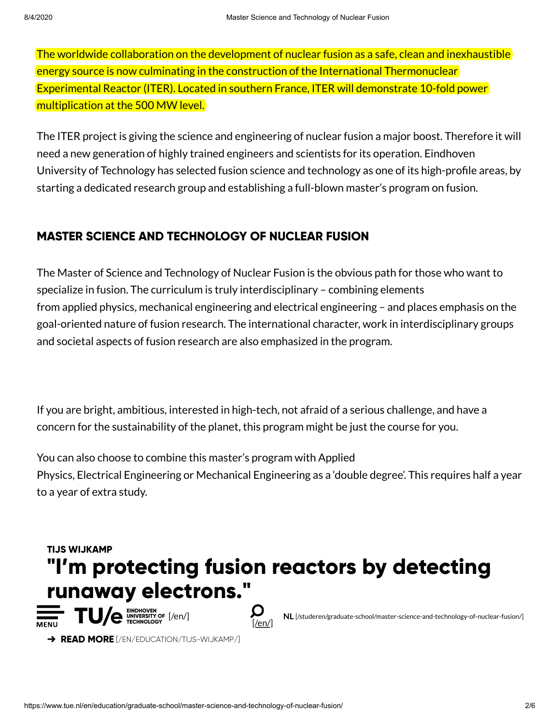The worldwide collaboration on the development of nuclear fusion as a safe, clean and inexhaustible energy source is now culminating in the construction of the International Thermonuclear Experimental Reactor (ITER). Located in southern France, ITER will demonstrate 10-fold power multiplication at the 500 MW level.

The ITER project is giving the science and engineering of nuclear fusion a major boost. Therefore it will need a new generation of highly trained engineers and scientists for its operation. Eindhoven University of Technology has selected fusion science and technology as one of its high-profile areas, by starting a dedicated research group and establishing a full-blown master's program on fusion.

## MASTER SCIENCE AND TECHNOLOGY OF NUCLEAR FUSION

The Master of Science and Technology of Nuclear Fusion is the obvious path for those who want to specialize in fusion. The curriculum is truly interdisciplinary – combining elements from applied physics, mechanical engineering and electrical engineering – and places emphasis on the goal-oriented nature of fusion research. The international character, work in interdisciplinary groups and societal aspects of fusion research are also emphasized in the program.

If you are bright, ambitious, interested in high-tech, not afraid of a serious challenge, and have a concern for the sustainability of the planet, this program might be just the course for you.

You can also choose to combine this master's program with Applied Physics, Electrical Engineering or Mechanical Engineering as a 'double degree'. This requires half a year to a year of extra study.



 $\rightarrow$  READ MORE [\[/EN/EDUCATION/TIJS-WIJKAMP/\]](https://www.tue.nl/en/education/tijs-wijkamp/)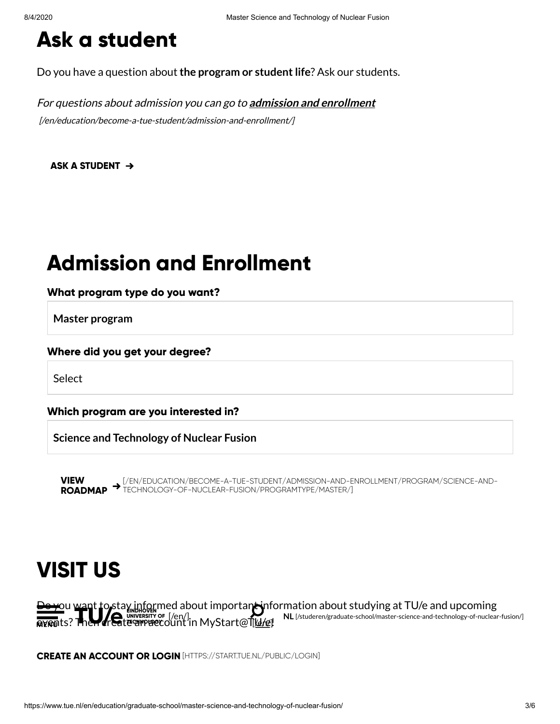# Ask a student

Do you have a question about the program or student life? Ask our students.

For questions about admission you can go to **admission and enrollment** [\[/en/education/become-a-tue-student/admission-and-enrollment/\]](https://www.tue.nl/en/education/become-a-tue-student/admission-and-enrollment/)

[ASK A STUDENT](javascript:linkTo_UnCryptMailto()  $\rightarrow$ 

# Admission and Enrollment

### What program type do you want?

Master program

#### Where did you get your degree?

**Select** 

Which program are you interested in?

Science and Technology of Nuclear Fusion

VIEW ROADMAP [\[/EN/EDUCATION/BECOME-A-TUE-STUDENT/ADMISSION-AND-ENROLLMENT/PROGRAM/SCIENCE-AND-](https://www.tue.nl/en/education/become-a-tue-student/admission-and-enrollment/program/science-and-technology-of-nuclear-fusion/programtype/master/)TECHNOLOGY-OF-NUCLEAR-FUSION/PROGRAMTYPE/MASTER/]

# VISIT US

 $\pm$ ou want to stay [informed ab](https://www.tue.nl/en/)out importan $\leftrightarrow$ information about studying at TU/e and upcoming **<u>aven</u>ts? Then create arracc**ount in MyStart@T[<u>W/e</u>] NL [\[/studeren/graduate-school/master-science-and-technology-of-nuclear-fusion/\]](https://www.tue.nl/studeren/graduate-school/master-science-and-technology-of-nuclear-fusion/) EINDHOVEN UNIVERSITY OF TECHNOLOGY [/en/] [/en/]

[CREATE AN ACCOUNT OR LOGIN](https://start.tue.nl/public/login) [HTTPS://START.TUE.NL/PUBLIC/LOGIN]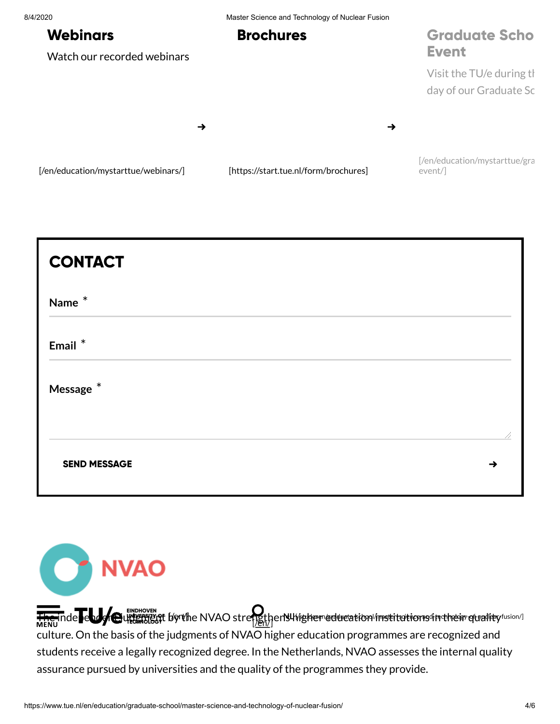#### 8/4/2020 Master Science and Technology of Nuclear Fusion

## **Webinars**

Watch our recorded webinars

## Brochures

## [Graduate Scho](https://www.tue.nl/en/education/mystarttue/graduate-school-event/) Event

Visit the TU/e during th day of our Graduate Sc

→

[\[/en/education/mystarttue/webinars/\]](https://www.tue.nl/en/education/mystarttue/webinars/) [\[https://start.tue.nl/form/brochures\]](https://start.tue.nl/form/brochures)

[/en/education/mystarttue/gra event/]

→

|  | // |
|--|----|
|  | →  |
|  |    |



The independent induction in the NVAO s[trengthen](https://www.tue.nl/en/)s higher education institutions in their quality fusion /] culture. On the basis of the judgments of NVAO higher education programmes are recognized and students receive a legally recognized degree. In the Netherlands, NVAO assesses the internal quality assurance pursued by universities and the quality of the programmes they provide.